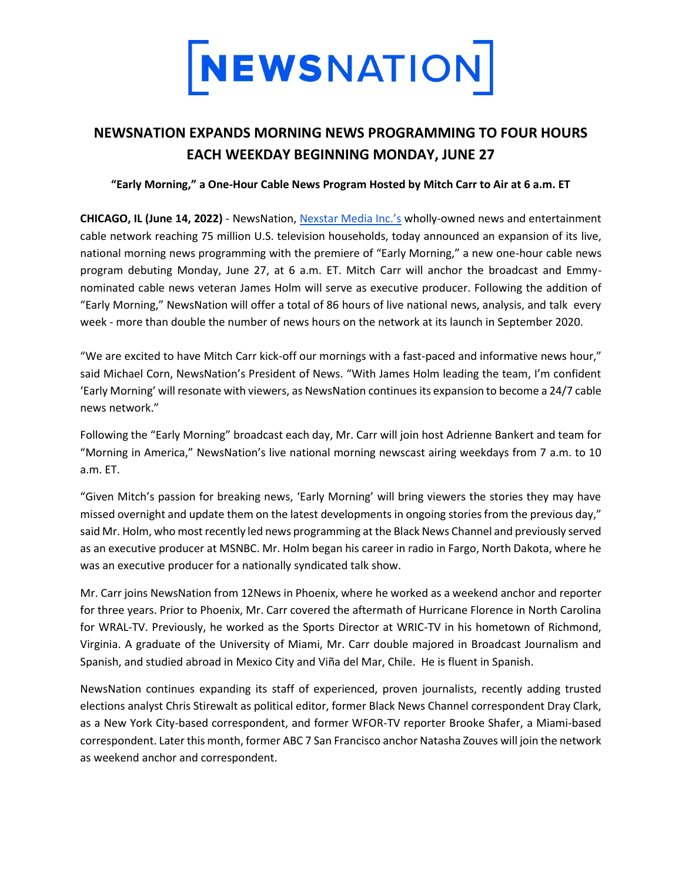

## **NEWSNATION EXPANDS MORNING NEWS PROGRAMMING TO FOUR HOURS EACH WEEKDAY BEGINNING MONDAY, JUNE 27**

## **"Early Morning," a One-Hour Cable News Program Hosted by Mitch Carr to Air at 6 a.m. ET**

**CHICAGO, IL (June 14, 2022)** - NewsNation[,](https://www.nexstar.tv/) [Nexstar Media Inc.'s](https://www.nexstar.tv/) wholly-owned news and entertainment cable network reaching 75 million U.S. television households, today announced an expansion of its live, national morning news programming with the premiere of "Early Morning," a new one-hour cable news program debuting Monday, June 27, at 6 a.m. ET. Mitch Carr will anchor the broadcast and Emmynominated cable news veteran James Holm will serve as executive producer. Following the addition of "Early Morning," NewsNation will offer a total of 86 hours of live national news, analysis, and talk every week - more than double the number of news hours on the network at its launch in September 2020.

"We are excited to have Mitch Carr kick-off our mornings with a fast-paced and informative news hour," said Michael Corn, NewsNation's President of News. "With James Holm leading the team, I'm confident 'Early Morning' will resonate with viewers, as NewsNation continues its expansion to become a 24/7 cable news network."

Following the "Early Morning" broadcast each day, Mr. Carr will join host Adrienne Bankert and team for "Morning in America," NewsNation's live national morning newscast airing weekdays from 7 a.m. to 10 a.m. ET.

"Given Mitch's passion for breaking news, 'Early Morning' will bring viewers the stories they may have missed overnight and update them on the latest developments in ongoing stories from the previous day," said Mr. Holm, who most recently led news programming at the Black News Channel and previously served as an executive producer at MSNBC. Mr. Holm began his career in radio in Fargo, North Dakota, where he was an executive producer for a nationally syndicated talk show.

Mr. Carr joins NewsNation from 12News in Phoenix, where he worked as a weekend anchor and reporter for three years. Prior to Phoenix, Mr. Carr covered the aftermath of Hurricane Florence in North Carolina for WRAL-TV. Previously, he worked as the Sports Director at WRIC-TV in his hometown of Richmond, Virginia. A graduate of the University of Miami, Mr. Carr double majored in Broadcast Journalism and Spanish, and studied abroad in Mexico City and Viña del Mar, Chile. He is fluent in Spanish.

NewsNation continues expanding its staff of experienced, proven journalists, recently adding trusted elections analyst Chris Stirewalt as political editor, former Black News Channel correspondent Dray Clark, as a New York City-based correspondent, and former WFOR-TV reporter Brooke Shafer, a Miami-based correspondent. Later this month, former ABC 7 San Francisco anchor Natasha Zouves will join the network as weekend anchor and correspondent.